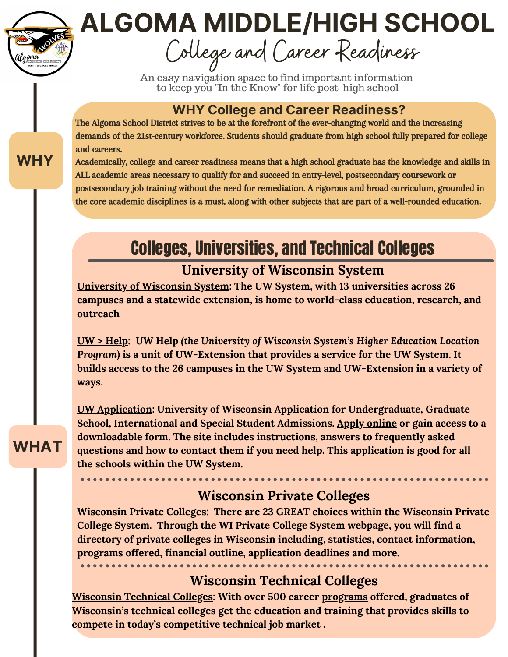# **ALGOMA MIDDLE/HIGH SCHOOL**

College and Career Readiness

An easy navigation space to find important information to keep you "In the Know" for life post-high school

#### **WHY College and Career Readiness?**

The Algoma School District strives to be at the forefront of the ever-changing world and the increasing demands of the 21st-century workforce. Students should graduate from high school fully prepared for college and careers.

Academically, college and career readiness means that a high school graduate has the knowledge and skills in ALL academic areas necessary to qualify for and succeed in entry-level, postsecondary coursework or postsecondary job training without the need for remediation. A rigorous and broad curriculum, grounded in the core academic disciplines is a must, along with other subjects that are part of a well-rounded education.

# Colleges, Universities, and Technical Colleges

#### **University of Wisconsin System**

**[University](https://www.wisconsin.edu/) of Wisconsin System: The UW System, with 13 universities across 26 campuses and a statewide extension, is home to world-class education, research, and outreach**

**UW > [Help](https://uwhelp.wisconsin.edu/): UW Help** *(the University of Wisconsin System's Higher Education Location Program)* **is a unit of UW-Extension that provides a service for the UW System. It builds access to the 26 campuses in the UW System and UW-Extension in a variety of ways.**

**UW [Application:](https://apply.wisconsin.edu/homepage) University of Wisconsin Application for Undergraduate, Graduate School, International and Special Student Admissions. Apply [online](https://apply.wisconsin.edu/homepage) or gain access to a downloadable form. The site includes instructions, answers to frequently asked questions and how to contact them if you need help. This application is good for all the schools within the UW System.**

#### **Wisconsin Private Colleges**

**[Wisconsin](https://www.wisconsinsprivatecolleges.org/) Private Colleges: There are [23](https://www.wisconsinsprivatecolleges.org/colleges) GREAT choices within the Wisconsin Private College System. Through the WI Private College System webpage, you will find a directory of private colleges in Wisconsin including, statistics, contact information, programs offered, financial outline, application deadlines and more.**

#### **Wisconsin Technical Colleges**

**[Wisconsin](https://www.wtcsystem.edu/) Technical Colleges: With over 500 career [programs](https://www.wtcsystem.edu/programs/) offered, graduates of Wisconsin's technical colleges get the education and training that provides skills to compete in today's competitive technical job market .**

#### **WHY**

# **WHAT**